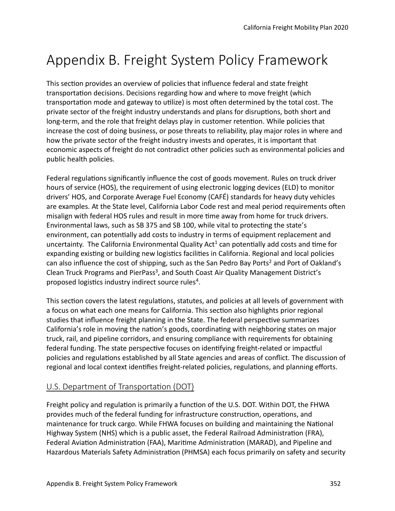# Appendix B. Freight System Policy Framework

This section provides an overview of policies that influence federal and state freight transportation decisions. Decisions regarding how and where to move freight (which transportation mode and gateway to utilize) is most often determined by the total cost. The private sector of the freight industry understands and plans for disruptons, both short and long-term, and the role that freight delays play in customer retenton. While policies that increase the cost of doing business, or pose threats to reliability, play major roles in where and how the private sector of the freight industry invests and operates, it is important that economic aspects of freight do not contradict other policies such as environmental policies and public health policies.

Federal regulations significantly influence the cost of goods movement. Rules on truck driver hours of service (HOS), the requirement of using electronic logging devices (ELD) to monitor drivers' HOS, and Corporate Average Fuel Economy (CAFÉ) standards for heavy duty vehicles are examples. At the State level, California Labor Code rest and meal period requirements ofen misalign with federal HOS rules and result in more tme away from home for truck drivers. Environmental laws, such as SB 375 and SB 100, while vital to protectng the state's environment, can potentally add costs to industry in terms of equipment replacement and uncertainty. The California Environmental Quality Act<sup>1</sup> can potentially add costs and time for expanding existing or building new logistics facilities in California. Regional and local policies can also influence the cost of shipping, such as the San Pedro Bay Ports<sup>2</sup> and Port of Oakland's Clean Truck Programs and PierPass<sup>3</sup>, and South Coast Air Quality Management District's proposed logistics industry indirect source rules<sup>4</sup>.

This section covers the latest regulations, statutes, and policies at all levels of government with a focus on what each one means for California. This secton also highlights prior regional studies that infuence freight planning in the State. The federal perspectve summarizes California's role in moving the nation's goods, coordinating with neighboring states on major truck, rail, and pipeline corridors, and ensuring compliance with requirements for obtaining federal funding. The state perspective focuses on identifying freight-related or impactful policies and regulatons established by all State agencies and areas of confict. The discussion of regional and local context identifies freight-related policies, regulations, and planning efforts.

## U.S. Department of Transportaton (DOT)

Freight policy and regulaton is primarily a functon of the U.S. DOT. Within DOT, the FHWA provides much of the federal funding for infrastructure construction, operations, and maintenance for truck cargo. While FHWA focuses on building and maintaining the Natonal Highway System (NHS) which is a public asset, the Federal Railroad Administration (FRA), Federal Aviation Administration (FAA), Maritime Administration (MARAD), and Pipeline and Hazardous Materials Safety Administraton (PHMSA) each focus primarily on safety and security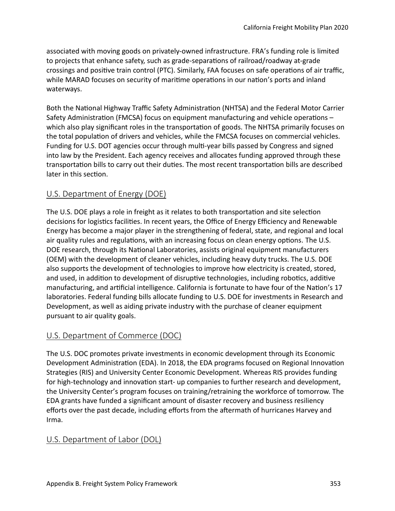associated with moving goods on privately-owned infrastructure. FRA's funding role is limited to projects that enhance safety, such as grade-separatons of railroad/roadway at-grade crossings and positive train control (PTC). Similarly, FAA focuses on safe operations of air traffic, while MARAD focuses on security of maritime operations in our nation's ports and inland waterways.

Both the National Highway Traffic Safety Administration (NHTSA) and the Federal Motor Carrier Safety Administration (FMCSA) focus on equipment manufacturing and vehicle operations which also play significant roles in the transportation of goods. The NHTSA primarily focuses on the total population of drivers and vehicles, while the FMCSA focuses on commercial vehicles. Funding for U.S. DOT agencies occur through mult-year bills passed by Congress and signed into law by the President. Each agency receives and allocates funding approved through these transportation bills to carry out their duties. The most recent transportation bills are described later in this section.

# U.S. Department of Energy (DOE)

The U.S. DOE plays a role in freight as it relates to both transportation and site selection decisions for logistics facilities. In recent years, the Office of Energy Efficiency and Renewable Energy has become a major player in the strengthening of federal, state, and regional and local air quality rules and regulations, with an increasing focus on clean energy options. The U.S. DOE research, through its National Laboratories, assists original equipment manufacturers (OEM) with the development of cleaner vehicles, including heavy duty trucks. The U.S. DOE also supports the development of technologies to improve how electricity is created, stored, and used, in addition to development of disruptive technologies, including robotics, additive manufacturing, and artificial intelligence. California is fortunate to have four of the Nation's 17 laboratories. Federal funding bills allocate funding to U.S. DOE for investments in Research and Development, as well as aiding private industry with the purchase of cleaner equipment pursuant to air quality goals.

# U.S. Department of Commerce (DOC)

The U.S. DOC promotes private investments in economic development through its Economic Development Administration (EDA). In 2018, the EDA programs focused on Regional Innovation Strategies (RIS) and University Center Economic Development. Whereas RIS provides funding for high-technology and innovation start- up companies to further research and development, the University Center's program focuses on training/retraining the workforce of tomorrow. The EDA grants have funded a signifcant amount of disaster recovery and business resiliency eforts over the past decade, including eforts from the afermath of hurricanes Harvey and Irma.

## U.S. Department of Labor (DOL)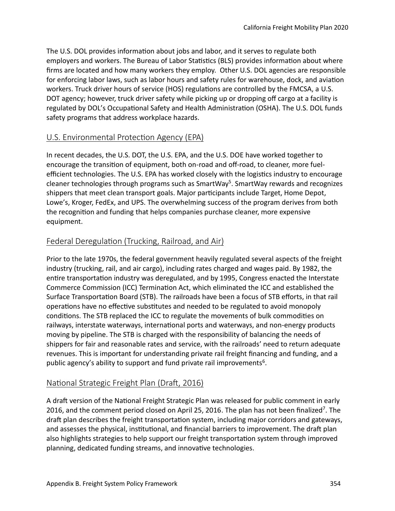The U.S. DOL provides information about jobs and labor, and it serves to regulate both employers and workers. The Bureau of Labor Statistics (BLS) provides information about where frms are located and how many workers they employ. Other U.S. DOL agencies are responsible for enforcing labor laws, such as labor hours and safety rules for warehouse, dock, and aviaton workers. Truck driver hours of service (HOS) regulatons are controlled by the FMCSA, a U.S. DOT agency; however, truck driver safety while picking up or dropping off cargo at a facility is regulated by DOL's Occupational Safety and Health Administration (OSHA). The U.S. DOL funds safety programs that address workplace hazards.

## U.S. Environmental Protection Agency (EPA)

In recent decades, the U.S. DOT, the U.S. EPA, and the U.S. DOE have worked together to encourage the transition of equipment, both on-road and off-road, to cleaner, more fuelefficient technologies. The U.S. EPA has worked closely with the logistics industry to encourage cleaner technologies through programs such as  $S$ martWay<sup>5</sup>. SmartWay rewards and recognizes shippers that meet clean transport goals. Major partcipants include Target, Home Depot, Lowe's, Kroger, FedEx, and UPS. The overwhelming success of the program derives from both the recogniton and funding that helps companies purchase cleaner, more expensive equipment.

## Federal Deregulation (Trucking, Railroad, and Air)

Prior to the late 1970s, the federal government heavily regulated several aspects of the freight industry (trucking, rail, and air cargo), including rates charged and wages paid. By 1982, the entire transportation industry was deregulated, and by 1995, Congress enacted the Interstate Commerce Commission (ICC) Termination Act, which eliminated the ICC and established the Surface Transportation Board (STB). The railroads have been a focus of STB efforts, in that rail operatons have no efectve substtutes and needed to be regulated to avoid monopoly conditions. The STB replaced the ICC to regulate the movements of bulk commodities on railways, interstate waterways, international ports and waterways, and non-energy products moving by pipeline. The STB is charged with the responsibility of balancing the needs of shippers for fair and reasonable rates and service, with the railroads' need to return adequate revenues. This is important for understanding private rail freight fnancing and funding, and a public agency's ability to support and fund private rail improvements<sup>6</sup>.

# National Strategic Freight Plan (Draft, 2016)

A draft version of the National Freight Strategic Plan was released for public comment in early 2016, and the comment period closed on April 25, 2016. The plan has not been finalized<sup>7</sup>. The draft plan describes the freight transportation system, including major corridors and gateways, and assesses the physical, institutional, and financial barriers to improvement. The draft plan also highlights strategies to help support our freight transportaton system through improved planning, dedicated funding streams, and innovative technologies.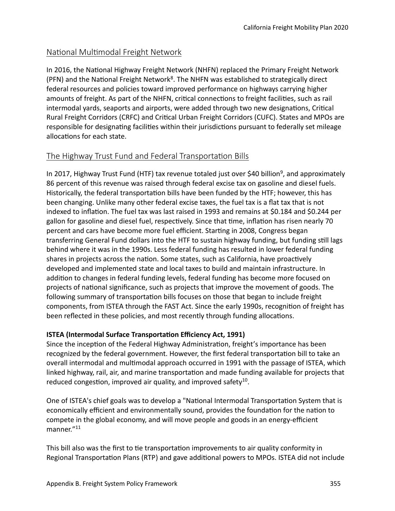## National Multimodal Freight Network

In 2016, the National Highway Freight Network (NHFN) replaced the Primary Freight Network (PFN) and the National Freight Network<sup>8</sup>. The NHFN was established to strategically direct federal resources and policies toward improved performance on highways carrying higher amounts of freight. As part of the NHFN, critical connections to freight facilities, such as rail intermodal yards, seaports and airports, were added through two new designations, Critical Rural Freight Corridors (CRFC) and Critcal Urban Freight Corridors (CUFC). States and MPOs are responsible for designating facilities within their jurisdictions pursuant to federally set mileage allocations for each state.

# The Highway Trust Fund and Federal Transportation Bills

In 2017, Highway Trust Fund (HTF) tax revenue totaled just over \$40 billion<sup>9</sup>, and approximately 86 percent of this revenue was raised through federal excise tax on gasoline and diesel fuels. Historically, the federal transportation bills have been funded by the HTF; however, this has been changing. Unlike many other federal excise taxes, the fuel tax is a flat tax that is not indexed to inflation. The fuel tax was last raised in 1993 and remains at \$0.184 and \$0.244 per gallon for gasoline and diesel fuel, respectively. Since that time, inflation has risen nearly 70 percent and cars have become more fuel efficient. Starting in 2008, Congress began transferring General Fund dollars into the HTF to sustain highway funding, but funding stll lags behind where it was in the 1990s. Less federal funding has resulted in lower federal funding shares in projects across the nation. Some states, such as California, have proactively developed and implemented state and local taxes to build and maintain infrastructure. In additon to changes in federal funding levels, federal funding has become more focused on projects of natonal signifcance, such as projects that improve the movement of goods. The following summary of transportation bills focuses on those that began to include freight components, from ISTEA through the FAST Act. Since the early 1990s, recogniton of freight has been refected in these policies, and most recently through funding allocatons.

#### **ISTEA** (Intermodal Surface Transportation Efficiency Act, 1991)

Since the inception of the Federal Highway Administration, freight's importance has been recognized by the federal government. However, the first federal transportation bill to take an overall intermodal and multmodal approach occurred in 1991 with the passage of ISTEA, which linked highway, rail, air, and marine transportaton and made funding available for projects that reduced congestion, improved air quality, and improved safety<sup>10</sup>.

One of ISTEA's chief goals was to develop a "National Intermodal Transportation System that is economically efficient and environmentally sound, provides the foundation for the nation to compete in the global economy, and will move people and goods in an energy-efficient manner."<sup>11</sup>

This bill also was the first to tie transportation improvements to air quality conformity in Regional Transportation Plans (RTP) and gave additional powers to MPOs. ISTEA did not include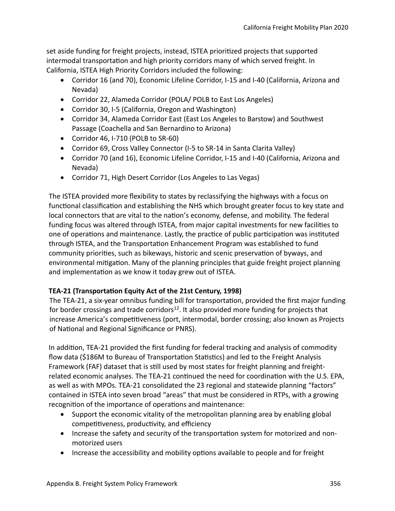set aside funding for freight projects, instead, ISTEA prioritzed projects that supported intermodal transportation and high priority corridors many of which served freight. In California, ISTEA High Priority Corridors included the following:

- Corridor 16 (and 70), Economic Lifeline Corridor, I-15 and I-40 (California, Arizona and Nevada)
- Corridor 22, Alameda Corridor (POLA/ POLB to East Los Angeles)
- Corridor 30, I-5 (California, Oregon and Washington)
- Corridor 34, Alameda Corridor East (East Los Angeles to Barstow) and Southwest Passage (Coachella and San Bernardino to Arizona)
- Corridor 46, I-710 (POLB to SR-60)
- Corridor 69, Cross Valley Connector (I-5 to SR-14 in Santa Clarita Valley)
- Corridor 70 (and 16), Economic Lifeline Corridor, I-15 and I-40 (California, Arizona and Nevada)
- Corridor 71, High Desert Corridor (Los Angeles to Las Vegas)

The ISTEA provided more flexibility to states by reclassifying the highways with a focus on functional classification and establishing the NHS which brought greater focus to key state and local connectors that are vital to the nation's economy, defense, and mobility. The federal funding focus was altered through ISTEA, from major capital investments for new facilites to one of operations and maintenance. Lastly, the practice of public participation was instituted through ISTEA, and the Transportation Enhancement Program was established to fund community priorites, such as bikeways, historic and scenic preservaton of byways, and environmental mitigation. Many of the planning principles that guide freight project planning and implementation as we know it today grew out of ISTEA.

#### **TEA-21 (Transportaton Equity Act of the 21st Century, 1998)**

The TEA-21, a six-year omnibus funding bill for transportation, provided the first major funding for border crossings and trade corridors<sup>12</sup>. It also provided more funding for projects that increase America's competitiveness (port, intermodal, border crossing; also known as Projects of National and Regional Significance or PNRS).

In additon, TEA-21 provided the frst funding for federal tracking and analysis of commodity flow data (\$186M to Bureau of Transportation Statistics) and led to the Freight Analysis Framework (FAF) dataset that is stll used by most states for freight planning and freightrelated economic analyses. The TEA-21 continued the need for coordination with the U.S. EPA, as well as with MPOs. TEA-21 consolidated the 23 regional and statewide planning "factors" contained in ISTEA into seven broad "areas" that must be considered in RTPs, with a growing recognition of the importance of operations and maintenance:

- Support the economic vitality of the metropolitan planning area by enabling global competitiveness, productivity, and efficiency
- Increase the safety and security of the transportation system for motorized and nonmotorized users
- Increase the accessibility and mobility options available to people and for freight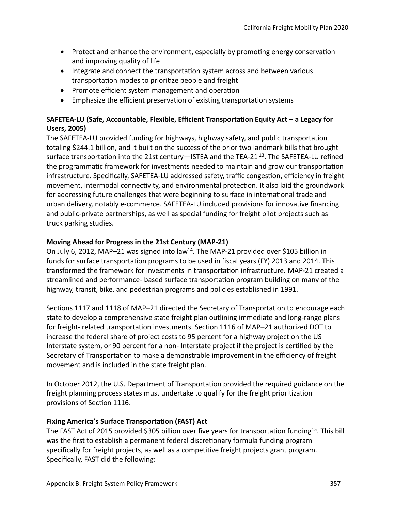- Protect and enhance the environment, especially by promoting energy conservation and improving quality of life
- Integrate and connect the transportation system across and between various transportaton modes to prioritze people and freight
- $\bullet$  Promote efficient system management and operation
- Emphasize the efficient preservation of existing transportation systems

#### **SAFETEA-LU (Safe, Accountable, Flexible, Efficient Transportation Equity Act – a Legacy for Users, 2005)**

The SAFETEA-LU provided funding for highways, highway safety, and public transportaton totaling \$244.1 billion, and it built on the success of the prior two landmark bills that brought surface transportation into the 21st century—ISTEA and the TEA-21 $^{13}$ . The SAFETEA-LU refined the programmatic framework for investments needed to maintain and grow our transportation infrastructure. Specifically, SAFETEA-LU addressed safety, traffic congestion, efficiency in freight movement, intermodal connectvity, and environmental protecton. It also laid the groundwork for addressing future challenges that were beginning to surface in international trade and urban delivery, notably e-commerce. SAFETEA-LU included provisions for innovative financing and public-private partnerships, as well as special funding for freight pilot projects such as truck parking studies.

#### **Moving Ahead for Progress in the 21st Century (MAP-21)**

On July 6, 2012, MAP-21 was signed into law<sup>14</sup>. The MAP-21 provided over \$105 billion in funds for surface transportation programs to be used in fiscal years (FY) 2013 and 2014. This transformed the framework for investments in transportaton infrastructure. MAP-21 created a streamlined and performance- based surface transportation program building on many of the highway, transit, bike, and pedestrian programs and policies established in 1991.

Sections 1117 and 1118 of MAP-21 directed the Secretary of Transportation to encourage each state to develop a comprehensive state freight plan outlining immediate and long-range plans for freight- related transportation investments. Section 1116 of MAP-21 authorized DOT to increase the federal share of project costs to 95 percent for a highway project on the US Interstate system, or 90 percent for a non- Interstate project if the project is certified by the Secretary of Transportation to make a demonstrable improvement in the efficiency of freight movement and is included in the state freight plan.

In October 2012, the U.S. Department of Transportaton provided the required guidance on the freight planning process states must undertake to qualify for the freight prioritization provisions of Section 1116.

#### **Fixing America's Surface Transportaton (FAST) Act**

The FAST Act of 2015 provided \$305 billion over five years for transportation funding<sup>15</sup>. This bill was the first to establish a permanent federal discretionary formula funding program specifically for freight projects, as well as a competitive freight projects grant program. Specifically, FAST did the following: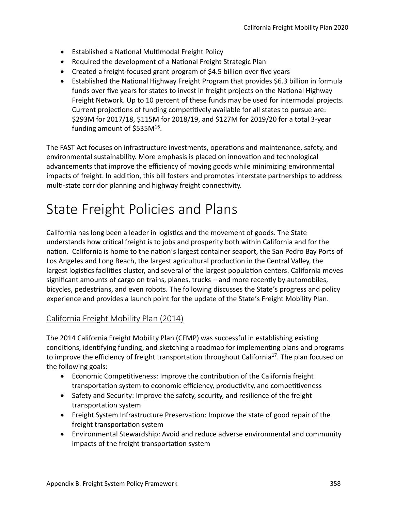- Established a Natonal Multmodal Freight Policy
- Required the development of a Natonal Freight Strategic Plan
- Created a freight-focused grant program of \$4.5 billion over five years
- Established the National Highway Freight Program that provides \$6.3 billion in formula funds over five years for states to invest in freight projects on the National Highway Freight Network. Up to 10 percent of these funds may be used for intermodal projects. Current projections of funding competitively available for all states to pursue are: \$293M for 2017/18, \$115M for 2018/19, and \$127M for 2019/20 for a total 3-year funding amount of  $$535M^{16}$ .

The FAST Act focuses on infrastructure investments, operations and maintenance, safety, and environmental sustainability. More emphasis is placed on innovation and technological advancements that improve the efficiency of moving goods while minimizing environmental impacts of freight. In additon, this bill fosters and promotes interstate partnerships to address multi-state corridor planning and highway freight connectivity.

# State Freight Policies and Plans

California has long been a leader in logistcs and the movement of goods. The State understands how critcal freight is to jobs and prosperity both within California and for the nation. California is home to the nation's largest container seaport, the San Pedro Bay Ports of Los Angeles and Long Beach, the largest agricultural production in the Central Valley, the largest logistics facilities cluster, and several of the largest population centers. California moves signifcant amounts of cargo on trains, planes, trucks – and more recently by automobiles, bicycles, pedestrians, and even robots. The following discusses the State's progress and policy experience and provides a launch point for the update of the State's Freight Mobility Plan.

## California Freight Mobility Plan (2014)

The 2014 California Freight Mobility Plan (CFMP) was successful in establishing existng conditions, identifying funding, and sketching a roadmap for implementing plans and programs to improve the efficiency of freight transportation throughout California<sup>17</sup>. The plan focused on the following goals:

- Economic Competitiveness: Improve the contribution of the California freight transportation system to economic efficiency, productivity, and competitiveness
- Safety and Security: Improve the safety, security, and resilience of the freight transportation system
- Freight System Infrastructure Preservaton: Improve the state of good repair of the freight transportation system
- Environmental Stewardship: Avoid and reduce adverse environmental and community impacts of the freight transportation system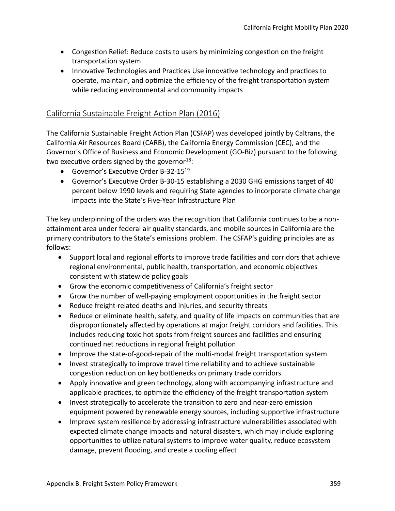- Congestion Relief: Reduce costs to users by minimizing congestion on the freight transportaton system
- Innovative Technologies and Practices Use innovative technology and practices to operate, maintain, and optimize the efficiency of the freight transportation system while reducing environmental and community impacts

# California Sustainable Freight Action Plan (2016)

The California Sustainable Freight Action Plan (CSFAP) was developed jointly by Caltrans, the California Air Resources Board (CARB), the California Energy Commission (CEC), and the Governor's Office of Business and Economic Development (GO-Biz) pursuant to the following two executive orders signed by the governor  $18$ :

- Governor's Executive Order B-32-15<sup>19</sup>
- Governor's Executive Order B-30-15 establishing a 2030 GHG emissions target of 40 percent below 1990 levels and requiring State agencies to incorporate climate change impacts into the State's Five-Year Infrastructure Plan

The key underpinning of the orders was the recogniton that California contnues to be a nonatainment area under federal air quality standards, and mobile sources in California are the primary contributors to the State's emissions problem. The CSFAP's guiding principles are as follows:

- Support local and regional eforts to improve trade facilites and corridors that achieve regional environmental, public health, transportation, and economic objectives consistent with statewide policy goals
- Grow the economic competitiveness of California's freight sector
- Grow the number of well-paying employment opportunites in the freight sector
- Reduce freight-related deaths and injuries, and security threats
- Reduce or eliminate health, safety, and quality of life impacts on communites that are disproportionately affected by operations at major freight corridors and facilities. This includes reducing toxic hot spots from freight sources and facilites and ensuring continued net reductions in regional freight pollution
- Improve the state-of-good-repair of the multi-modal freight transportation system
- Invest strategically to improve travel tme reliability and to achieve sustainable congestion reduction on key bottlenecks on primary trade corridors
- Apply innovative and green technology, along with accompanying infrastructure and applicable practices, to optimize the efficiency of the freight transportation system
- Invest strategically to accelerate the transiton to zero and near-zero emission equipment powered by renewable energy sources, including supportive infrastructure
- Improve system resilience by addressing infrastructure vulnerabilites associated with expected climate change impacts and natural disasters, which may include exploring opportunites to utlize natural systems to improve water quality, reduce ecosystem damage, prevent flooding, and create a cooling effect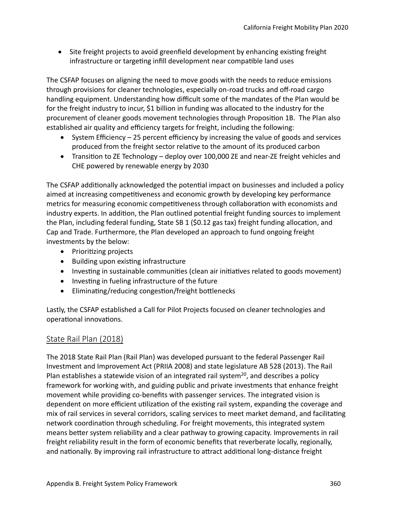• Site freight projects to avoid greenfield development by enhancing existing freight infrastructure or targeting infill development near compatible land uses

The CSFAP focuses on aligning the need to move goods with the needs to reduce emissions through provisions for cleaner technologies, especially on-road trucks and off-road cargo handling equipment. Understanding how difficult some of the mandates of the Plan would be for the freight industry to incur, \$1 billion in funding was allocated to the industry for the procurement of cleaner goods movement technologies through Propositon 1B. The Plan also established air quality and efficiency targets for freight, including the following:

- System Efficiency  $-25$  percent efficiency by increasing the value of goods and services produced from the freight sector relatve to the amount of its produced carbon
- Transiton to ZE Technology deploy over 100,000 ZE and near-ZE freight vehicles and CHE powered by renewable energy by 2030

The CSFAP additonally acknowledged the potental impact on businesses and included a policy aimed at increasing competitiveness and economic growth by developing key performance metrics for measuring economic competitiveness through collaboration with economists and industry experts. In additon, the Plan outlined potental freight funding sources to implement the Plan, including federal funding, State SB 1 (\$0.12 gas tax) freight funding allocaton, and Cap and Trade. Furthermore, the Plan developed an approach to fund ongoing freight investments by the below:

- Prioritizing projects
- Building upon existng infrastructure
- Investing in sustainable communities (clean air initiatives related to goods movement)
- Investing in fueling infrastructure of the future
- Eliminating/reducing congestion/freight bottlenecks

Lastly, the CSFAP established a Call for Pilot Projects focused on cleaner technologies and operational innovations.

#### State Rail Plan (2018)

The 2018 State Rail Plan (Rail Plan) was developed pursuant to the federal Passenger Rail Investment and Improvement Act (PRIIA 2008) and state legislature AB 528 (2013). The Rail Plan establishes a statewide vision of an integrated rail system<sup>20</sup>, and describes a policy framework for working with, and guiding public and private investments that enhance freight movement while providing co-benefts with passenger services. The integrated vision is dependent on more efficient utilization of the existing rail system, expanding the coverage and mix of rail services in several corridors, scaling services to meet market demand, and facilitatng network coordination through scheduling. For freight movements, this integrated system means better system reliability and a clear pathway to growing capacity. Improvements in rail freight reliability result in the form of economic benefts that reverberate locally, regionally, and nationally. By improving rail infrastructure to attract additional long-distance freight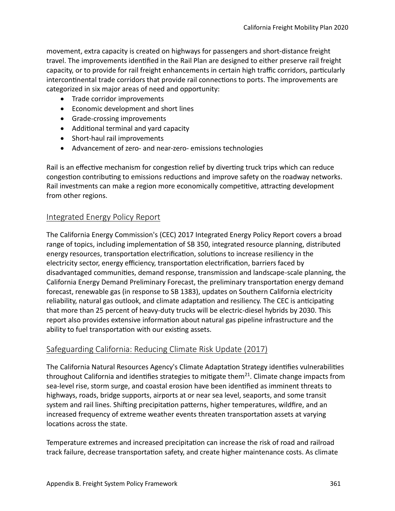movement, extra capacity is created on highways for passengers and short-distance freight travel. The improvements identified in the Rail Plan are designed to either preserve rail freight capacity, or to provide for rail freight enhancements in certain high traffic corridors, particularly intercontinental trade corridors that provide rail connections to ports. The improvements are categorized in six major areas of need and opportunity:

- Trade corridor improvements
- Economic development and short lines
- Grade-crossing improvements
- Additonal terminal and yard capacity
- Short-haul rail improvements
- Advancement of zero- and near-zero- emissions technologies

Rail is an efectve mechanism for congeston relief by divertng truck trips which can reduce congestion contributing to emissions reductions and improve safety on the roadway networks. Rail investments can make a region more economically competitive, attracting development from other regions.

## Integrated Energy Policy Report

The California Energy Commission's (CEC) 2017 Integrated Energy Policy Report covers a broad range of topics, including implementaton of SB 350, integrated resource planning, distributed energy resources, transportation electrification, solutions to increase resiliency in the electricity sector, energy efficiency, transportation electrification, barriers faced by disadvantaged communites, demand response, transmission and landscape-scale planning, the California Energy Demand Preliminary Forecast, the preliminary transportation energy demand forecast, renewable gas (in response to SB 1383), updates on Southern California electricity reliability, natural gas outlook, and climate adaptation and resiliency. The CEC is anticipating that more than 25 percent of heavy-duty trucks will be electric-diesel hybrids by 2030. This report also provides extensive information about natural gas pipeline infrastructure and the ability to fuel transportation with our existing assets.

## Safeguarding California: Reducing Climate Risk Update (2017)

The California Natural Resources Agency's Climate Adaptation Strategy identifies vulnerabilities throughout California and identifies strategies to mitigate them $^{21}$ . Climate change impacts from sea-level rise, storm surge, and coastal erosion have been identified as imminent threats to highways, roads, bridge supports, airports at or near sea level, seaports, and some transit system and rail lines. Shifting precipitation patterns, higher temperatures, wildfire, and an increased frequency of extreme weather events threaten transportaton assets at varying locations across the state.

Temperature extremes and increased precipitaton can increase the risk of road and railroad track failure, decrease transportaton safety, and create higher maintenance costs. As climate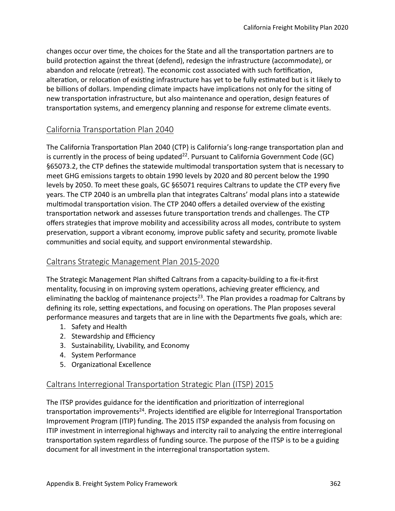changes occur over tme, the choices for the State and all the transportaton partners are to build protection against the threat (defend), redesign the infrastructure (accommodate), or abandon and relocate (retreat). The economic cost associated with such fortification, alteration, or relocation of existing infrastructure has yet to be fully estimated but is it likely to be billions of dollars. Impending climate impacts have implications not only for the siting of new transportation infrastructure, but also maintenance and operation, design features of transportation systems, and emergency planning and response for extreme climate events.

# California Transportation Plan 2040

The California Transportation Plan 2040 (CTP) is California's long-range transportation plan and is currently in the process of being updated<sup>22</sup>. Pursuant to California Government Code (GC) §65073.2, the CTP defines the statewide multimodal transportation system that is necessary to meet GHG emissions targets to obtain 1990 levels by 2020 and 80 percent below the 1990 levels by 2050. To meet these goals, GC §65071 requires Caltrans to update the CTP every fve years. The CTP 2040 is an umbrella plan that integrates Caltrans' modal plans into a statewide multimodal transportation vision. The CTP 2040 offers a detailed overview of the existing transportation network and assesses future transportation trends and challenges. The CTP ofers strategies that improve mobility and accessibility across all modes, contribute to system preservation, support a vibrant economy, improve public safety and security, promote livable communites and social equity, and support environmental stewardship.

# Caltrans Strategic Management Plan 2015-2020

The Strategic Management Plan shifed Caltrans from a capacity-building to a fx-it-frst mentality, focusing in on improving system operations, achieving greater efficiency, and eliminating the backlog of maintenance projects<sup>23</sup>. The Plan provides a roadmap for Caltrans by defining its role, setting expectations, and focusing on operations. The Plan proposes several performance measures and targets that are in line with the Departments five goals, which are:

- 1. Safety and Health
- 2. Stewardship and Efficiency
- 3. Sustainability, Livability, and Economy
- 4. System Performance
- 5. Organizational Excellence

## Caltrans Interregional Transportaton Strategic Plan (ITSP) 2015

The ITSP provides guidance for the identification and prioritization of interregional transportation improvements<sup>24</sup>. Projects identified are eligible for Interregional Transportation Improvement Program (ITIP) funding. The 2015 ITSP expanded the analysis from focusing on ITIP investment in interregional highways and intercity rail to analyzing the entre interregional transportation system regardless of funding source. The purpose of the ITSP is to be a guiding document for all investment in the interregional transportation system.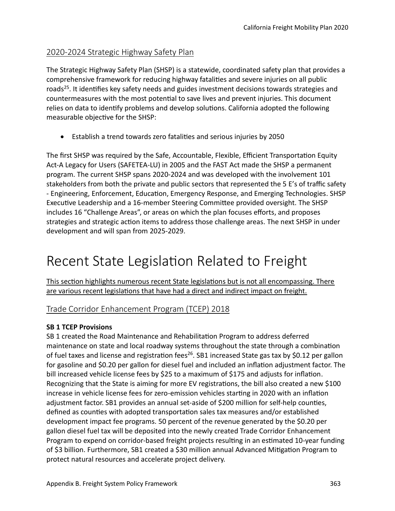# 2020-2024 Strategic Highway Safety Plan

The Strategic Highway Safety Plan (SHSP) is a statewide, coordinated safety plan that provides a comprehensive framework for reducing highway fatalites and severe injuries on all public roads<sup>25</sup>. It identifies key safety needs and guides investment decisions towards strategies and countermeasures with the most potental to save lives and prevent injuries. This document relies on data to identify problems and develop solutions. California adopted the following measurable objective for the SHSP:

• Establish a trend towards zero fatalites and serious injuries by 2050

The first SHSP was required by the Safe, Accountable, Flexible, Efficient Transportation Equity Act-A Legacy for Users (SAFETEA-LU) in 2005 and the FAST Act made the SHSP a permanent program. The current SHSP spans 2020-2024 and was developed with the involvement 101 stakeholders from both the private and public sectors that represented the 5 E's of traffic safety - Engineering, Enforcement, Educaton, Emergency Response, and Emerging Technologies. SHSP Executve Leadership and a 16-member Steering Commitee provided oversight. The SHSP includes 16 "Challenge Areas", or areas on which the plan focuses efforts, and proposes strategies and strategic action items to address those challenge areas. The next SHSP in under development and will span from 2025-2029.

# Recent State Legislation Related to Freight

This section highlights numerous recent State legislations but is not all encompassing. There are various recent legislations that have had a direct and indirect impact on freight.

## Trade Corridor Enhancement Program (TCEP) 2018

#### **SB 1 TCEP Provisions**

SB 1 created the Road Maintenance and Rehabilitaton Program to address deferred maintenance on state and local roadway systems throughout the state through a combinaton of fuel taxes and license and registration fees<sup>26</sup>. SB1 increased State gas tax by \$0.12 per gallon for gasoline and \$0.20 per gallon for diesel fuel and included an inflation adjustment factor. The bill increased vehicle license fees by \$25 to a maximum of \$175 and adjusts for infaton. Recognizing that the State is aiming for more EV registratons, the bill also created a new \$100 increase in vehicle license fees for zero-emission vehicles starting in 2020 with an inflation adjustment factor. SB1 provides an annual set-aside of \$200 million for self-help countes, defined as counties with adopted transportation sales tax measures and/or established development impact fee programs. 50 percent of the revenue generated by the \$0.20 per gallon diesel fuel tax will be deposited into the newly created Trade Corridor Enhancement Program to expend on corridor-based freight projects resultng in an estmated 10-year funding of \$3 billion. Furthermore, SB1 created a \$30 million annual Advanced Mitgaton Program to protect natural resources and accelerate project delivery.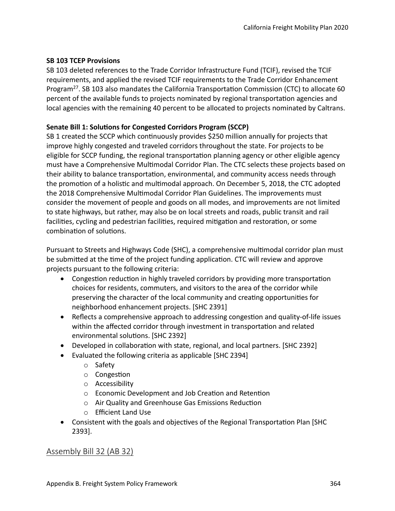#### **SB 103 TCEP Provisions**

SB 103 deleted references to the Trade Corridor Infrastructure Fund (TCIF), revised the TCIF requirements, and applied the revised TCIF requirements to the Trade Corridor Enhancement Program<sup>27</sup>. SB 103 also mandates the California Transportation Commission (CTC) to allocate 60 percent of the available funds to projects nominated by regional transportaton agencies and local agencies with the remaining 40 percent to be allocated to projects nominated by Caltrans.

#### **Senate Bill 1: Solutons for Congested Corridors Program (SCCP)**

SB 1 created the SCCP which continuously provides \$250 million annually for projects that improve highly congested and traveled corridors throughout the state. For projects to be eligible for SCCP funding, the regional transportaton planning agency or other eligible agency must have a Comprehensive Multmodal Corridor Plan. The CTC selects these projects based on their ability to balance transportation, environmental, and community access needs through the promotion of a holistic and multimodal approach. On December 5, 2018, the CTC adopted the 2018 Comprehensive Multmodal Corridor Plan Guidelines. The improvements must consider the movement of people and goods on all modes, and improvements are not limited to state highways, but rather, may also be on local streets and roads, public transit and rail facilities, cycling and pedestrian facilities, required mitigation and restoration, or some combination of solutions.

Pursuant to Streets and Highways Code (SHC), a comprehensive multmodal corridor plan must be submited at the tme of the project funding applicaton. CTC will review and approve projects pursuant to the following criteria:

- Congestion reduction in highly traveled corridors by providing more transportation choices for residents, commuters, and visitors to the area of the corridor while preserving the character of the local community and creatng opportunites for neighborhood enhancement projects. [SHC 2391]
- Reflects a comprehensive approach to addressing congestion and quality-of-life issues within the affected corridor through investment in transportation and related environmental solutons. [SHC 2392]
- Developed in collaboration with state, regional, and local partners. [SHC 2392]
- Evaluated the following criteria as applicable [SHC 2394]
	- o Safety
	- o Congeston
	- o Accessibility
	- o Economic Development and Job Creaton and Retenton
	- o Air Quality and Greenhouse Gas Emissions Reducton
	- o Efficient Land Use
- Consistent with the goals and objectives of the Regional Transportation Plan [SHC 2393].

## Assembly Bill 32 (AB 32)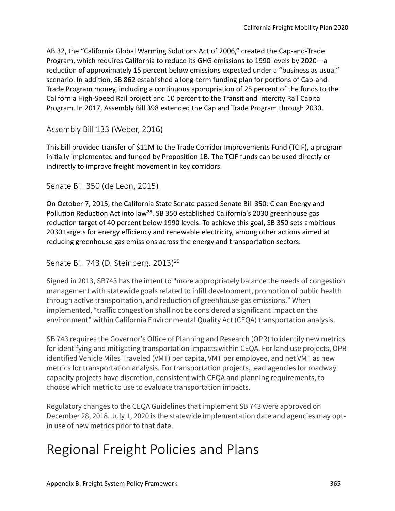AB 32, the "California Global Warming Solutons Act of 2006," created the Cap-and-Trade Program, which requires California to reduce its GHG emissions to 1990 levels by 2020—a reduction of approximately 15 percent below emissions expected under a "business as usual" scenario. In additon, SB 862 established a long-term funding plan for portons of Cap-and-Trade Program money, including a continuous appropriation of 25 percent of the funds to the California High-Speed Rail project and 10 percent to the Transit and Intercity Rail Capital Program. In 2017, Assembly Bill 398 extended the Cap and Trade Program through 2030.

## Assembly Bill 133 (Weber, 2016)

This bill provided transfer of \$11M to the Trade Corridor Improvements Fund (TCIF), a program initally implemented and funded by Propositon 1B. The TCIF funds can be used directly or indirectly to improve freight movement in key corridors.

## Senate Bill 350 (de Leon, 2015)

On October 7, 2015, the California State Senate passed Senate Bill 350: Clean Energy and Pollution Reduction Act into law<sup>28</sup>. SB 350 established California's 2030 greenhouse gas reduction target of 40 percent below 1990 levels. To achieve this goal, SB 350 sets ambitious 2030 targets for energy efficiency and renewable electricity, among other actions aimed at reducing greenhouse gas emissions across the energy and transportation sectors.

## Senate Bill 743 (D. Steinberg, 2013)<sup>29</sup>

Signed in 2013, SB743 has the intent to "more appropriately balance the needs of congestion management with statewide goals related to infill development, promotion of public health through active transportation, and reduction of greenhouse gas emissions." When implemented, "traffic congestion shall not be considered a significant impact on the environment" within California Environmental Quality Act (CEQA) transportation analysis.

SB 743 requires the Governor's Office of Planning and Research (OPR) to identify new metrics for identifying and mitigating transportation impacts within CEQA. For land use projects, OPR identified Vehicle Miles Traveled (VMT) per capita, VMT per employee, and net VMT as new metrics for transportation analysis. For transportation projects, lead agencies for roadway capacity projects have discretion, consistent with CEQA and planning requirements, to choose which metric to use to evaluate transportation impacts.

Regulatory changes to the CEQA Guidelines that implement SB 743 were approved on December 28, 2018. July 1, 2020 is the statewide implementation date and agencies may optin use of new metrics prior to that date.

# Regional Freight Policies and Plans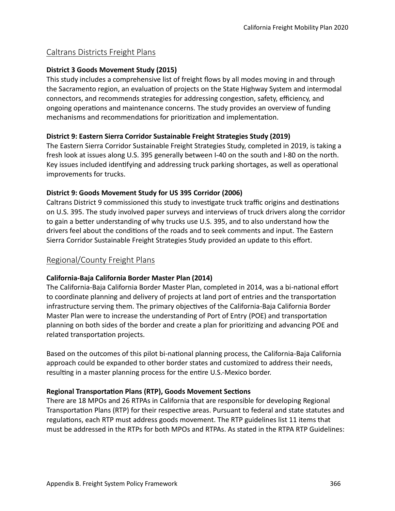## Caltrans Districts Freight Plans

#### **District 3 Goods Movement Study (2015)**

This study includes a comprehensive list of freight flows by all modes moving in and through the Sacramento region, an evaluaton of projects on the State Highway System and intermodal connectors, and recommends strategies for addressing congestion, safety, efficiency, and ongoing operations and maintenance concerns. The study provides an overview of funding mechanisms and recommendations for prioritization and implementation.

#### **District 9: Eastern Sierra Corridor Sustainable Freight Strategies Study (2019)**

The Eastern Sierra Corridor Sustainable Freight Strategies Study, completed in 2019, is taking a fresh look at issues along U.S. 395 generally between I-40 on the south and I-80 on the north. Key issues included identfying and addressing truck parking shortages, as well as operatonal improvements for trucks.

#### **District 9: Goods Movement Study for US 395 Corridor (2006)**

Caltrans District 9 commissioned this study to investigate truck traffic origins and destinations on U.S. 395. The study involved paper surveys and interviews of truck drivers along the corridor to gain a better understanding of why trucks use U.S. 395, and to also understand how the drivers feel about the conditons of the roads and to seek comments and input. The Eastern Sierra Corridor Sustainable Freight Strategies Study provided an update to this effort.

## Regional/County Freight Plans

#### **California-Baja California Border Master Plan (2014)**

The California-Baja California Border Master Plan, completed in 2014, was a bi-national effort to coordinate planning and delivery of projects at land port of entries and the transportaton infrastructure serving them. The primary objectives of the California-Baja California Border Master Plan were to increase the understanding of Port of Entry (POE) and transportaton planning on both sides of the border and create a plan for prioritzing and advancing POE and related transportation projects.

Based on the outcomes of this pilot bi-natonal planning process, the California-Baja California approach could be expanded to other border states and customized to address their needs, resulting in a master planning process for the entire U.S.-Mexico border.

#### **Regional Transportaton Plans (RTP), Goods Movement Sectons**

There are 18 MPOs and 26 RTPAs in California that are responsible for developing Regional Transportation Plans (RTP) for their respective areas. Pursuant to federal and state statutes and regulations, each RTP must address goods movement. The RTP guidelines list 11 items that must be addressed in the RTPs for both MPOs and RTPAs. As stated in the RTPA RTP Guidelines: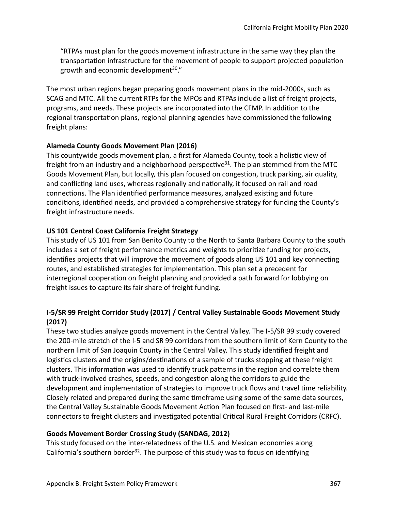"RTPAs must plan for the goods movement infrastructure in the same way they plan the transportaton infrastructure for the movement of people to support projected populaton growth and economic development $30$ ."

The most urban regions began preparing goods movement plans in the mid-2000s, such as SCAG and MTC. All the current RTPs for the MPOs and RTPAs include a list of freight projects, programs, and needs. These projects are incorporated into the CFMP. In additon to the regional transportation plans, regional planning agencies have commissioned the following freight plans:

#### **Alameda County Goods Movement Plan (2016)**

This countywide goods movement plan, a first for Alameda County, took a holistic view of freight from an industry and a neighborhood perspective<sup>31</sup>. The plan stemmed from the MTC Goods Movement Plan, but locally, this plan focused on congeston, truck parking, air quality, and conflicting land uses, whereas regionally and nationally, it focused on rail and road connections. The Plan identified performance measures, analyzed existing and future conditions, identified needs, and provided a comprehensive strategy for funding the County's freight infrastructure needs.

#### **US 101 Central Coast California Freight Strategy**

This study of US 101 from San Benito County to the North to Santa Barbara County to the south includes a set of freight performance metrics and weights to prioritze funding for projects, identifies projects that will improve the movement of goods along US 101 and key connecting routes, and established strategies for implementaton. This plan set a precedent for interregional cooperation on freight planning and provided a path forward for lobbying on freight issues to capture its fair share of freight funding.

#### **I-5/SR 99 Freight Corridor Study (2017) / Central Valley Sustainable Goods Movement Study (2017)**

These two studies analyze goods movement in the Central Valley. The I-5/SR 99 study covered the 200-mile stretch of the I-5 and SR 99 corridors from the southern limit of Kern County to the northern limit of San Joaquin County in the Central Valley. This study identified freight and logistics clusters and the origins/destinations of a sample of trucks stopping at these freight clusters. This information was used to identify truck patterns in the region and correlate them with truck-involved crashes, speeds, and congeston along the corridors to guide the development and implementation of strategies to improve truck flows and travel time reliability. Closely related and prepared during the same tmeframe using some of the same data sources, the Central Valley Sustainable Goods Movement Action Plan focused on first- and last-mile connectors to freight clusters and investgated potental Critcal Rural Freight Corridors (CRFC).

#### **Goods Movement Border Crossing Study (SANDAG, 2012)**

This study focused on the inter-relatedness of the U.S. and Mexican economies along California's southern border<sup>32</sup>. The purpose of this study was to focus on identifying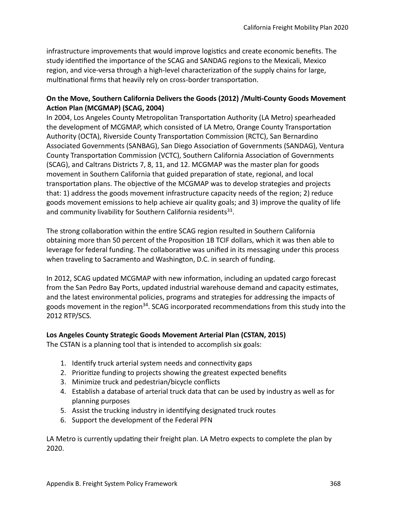infrastructure improvements that would improve logistcs and create economic benefts. The study identified the importance of the SCAG and SANDAG regions to the Mexicali, Mexico region, and vice-versa through a high-level characterizaton of the supply chains for large, multinational firms that heavily rely on cross-border transportation.

#### **On the Move, Southern California Delivers the Goods (2012) /Mult-County Goods Movement Action Plan (MCGMAP) (SCAG, 2004)**

In 2004, Los Angeles County Metropolitan Transportation Authority (LA Metro) spearheaded the development of MCGMAP, which consisted of LA Metro, Orange County Transportaton Authority (OCTA), Riverside County Transportaton Commission (RCTC), San Bernardino Associated Governments (SANBAG), San Diego Associaton of Governments (SANDAG), Ventura County Transportation Commission (VCTC), Southern California Association of Governments (SCAG), and Caltrans Districts 7, 8, 11, and 12. MCGMAP was the master plan for goods movement in Southern California that guided preparation of state, regional, and local transportation plans. The objective of the MCGMAP was to develop strategies and projects that: 1) address the goods movement infrastructure capacity needs of the region; 2) reduce goods movement emissions to help achieve air quality goals; and 3) improve the quality of life and community livability for Southern California residents<sup>33</sup>.

The strong collaboration within the entire SCAG region resulted in Southern California obtaining more than 50 percent of the Propositon 1B TCIF dollars, which it was then able to leverage for federal funding. The collaborative was unified in its messaging under this process when traveling to Sacramento and Washington, D.C. in search of funding.

In 2012, SCAG updated MCGMAP with new information, including an updated cargo forecast from the San Pedro Bay Ports, updated industrial warehouse demand and capacity estmates, and the latest environmental policies, programs and strategies for addressing the impacts of goods movement in the region<sup>34</sup>. SCAG incorporated recommendations from this study into the 2012 RTP/SCS.

#### **Los Angeles County Strategic Goods Movement Arterial Plan (CSTAN, 2015)**

The CSTAN is a planning tool that is intended to accomplish six goals:

- 1. Identify truck arterial system needs and connectivity gaps
- 2. Prioritze funding to projects showing the greatest expected benefts
- 3. Minimize truck and pedestrian/bicycle conficts
- 4. Establish a database of arterial truck data that can be used by industry as well as for planning purposes
- 5. Assist the trucking industry in identfying designated truck routes
- 6. Support the development of the Federal PFN

LA Metro is currently updating their freight plan. LA Metro expects to complete the plan by 2020.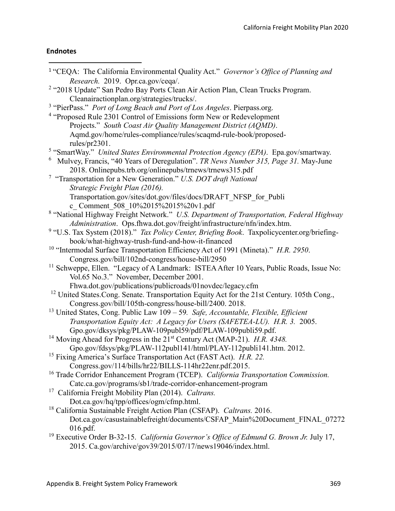# **Endnotes**

 $\overline{a}$ 

| <sup>1</sup> "CEQA: The California Environmental Quality Act." Governor's Office of Planning and         |
|----------------------------------------------------------------------------------------------------------|
| Research. 2019. Opr.ca.gov/ceqa/.                                                                        |
| <sup>2</sup> "2018 Update" San Pedro Bay Ports Clean Air Action Plan, Clean Trucks Program.              |
| Cleanairactionplan.org/strategies/trucks/.                                                               |
| <sup>3</sup> "PierPass." Port of Long Beach and Port of Los Angeles. Pierpass.org.                       |
| <sup>4</sup> "Proposed Rule 2301 Control of Emissions form New or Redevelopment                          |
| Projects." South Coast Air Quality Management District (AQMD).                                           |
| Aqmd.gov/home/rules-compliance/rules/scaqmd-rule-book/proposed-                                          |
| rules/pr2301.                                                                                            |
| <sup>5</sup> "SmartWay." United States Environmental Protection Agency (EPA). Epa.gov/smartway.          |
| $6$ Mulvey, Francis, "40 Years of Deregulation". TR News Number 315, Page 31. May-June                   |
| 2018. Onlinepubs.trb.org/onlinepubs/trnews/trnews315.pdf                                                 |
| <sup>7</sup> "Transportation for a New Generation." U.S. DOT draft National                              |
| Strategic Freight Plan (2016).                                                                           |
| Transportation.gov/sites/dot.gov/files/docs/DRAFT NFSP for Publi                                         |
| c Comment 508 10%2015%2015%20v1.pdf                                                                      |
| <sup>8</sup> "National Highway Freight Network." U.S. Department of Transportation, Federal Highway      |
| Administration. Ops.fhwa.dot.gov/freight/infrastructure/nfn/index.htm.                                   |
| <sup>9</sup> "U.S. Tax System (2018)." Tax Policy Center, Briefing Book. Taxpolicycenter.org/briefing-   |
| book/what-highway-trush-fund-and-how-it-financed                                                         |
| <sup>10</sup> "Intermodal Surface Transportation Efficiency Act of 1991 (Mineta)." H.R. 2950.            |
| Congress.gov/bill/102nd-congress/house-bill/2950                                                         |
| <sup>11</sup> Schweppe, Ellen. "Legacy of A Landmark: ISTEA After 10 Years, Public Roads, Issue No:      |
| Vol.65 No.3." November, December 2001.                                                                   |
| Fhwa.dot.gov/publications/publicroads/01novdec/legacy.cfm                                                |
| <sup>12</sup> United States.Cong. Senate. Transportation Equity Act for the 21st Century. 105th Cong.,   |
| Congress.gov/bill/105th-congress/house-bill/2400.2018.                                                   |
| <sup>13</sup> United States, Cong. Public Law $109 - 59$ . Safe, Accountable, Flexible, Efficient        |
| Transportation Equity Act: A Legacy for Users (SAFETEA-LU). H.R. 3. 2005.                                |
| Gpo.gov/dksys/pkg/PLAW-109publ59/pdf/PLAW-109publi59.pdf.                                                |
| <sup>14</sup> Moving Ahead for Progress in the 21 <sup>st</sup> Century Act (MAP-21). <i>H.R. 4348</i> . |
| Gpo.gov/fdsys/pkg/PLAW-112publ141/html/PLAY-112publi141.htm. 2012.                                       |
| <sup>15</sup> Fixing America's Surface Transportation Act (FAST Act). H.R. 22.                           |
| Congress.gov/114/bills/hr22/BILLS-114hr22enr.pdf.2015.                                                   |
| <sup>16</sup> Trade Corridor Enhancement Program (TCEP). California Transportation Commission.           |
| Catc.ca.gov/programs/sb1/trade-corridor-enhancement-program                                              |
| <sup>17</sup> California Freight Mobility Plan (2014). Caltrans.                                         |
| Dot.ca.gov/hq/tpp/offices/ogm/cfmp.html.                                                                 |
| <sup>18</sup> California Sustainable Freight Action Plan (CSFAP). Caltrans. 2016.                        |
| Dot.ca.gov/casustainablefreight/documents/CSFAP Main%20Document FINAL 07272                              |
| 016.pdf.                                                                                                 |
| <sup>19</sup> Executive Order B-32-15. California Governor's Office of Edmund G. Brown Jr. July 17,      |
| 2015. Ca.gov/archive/gov39/2015/07/17/news19046/index.html.                                              |